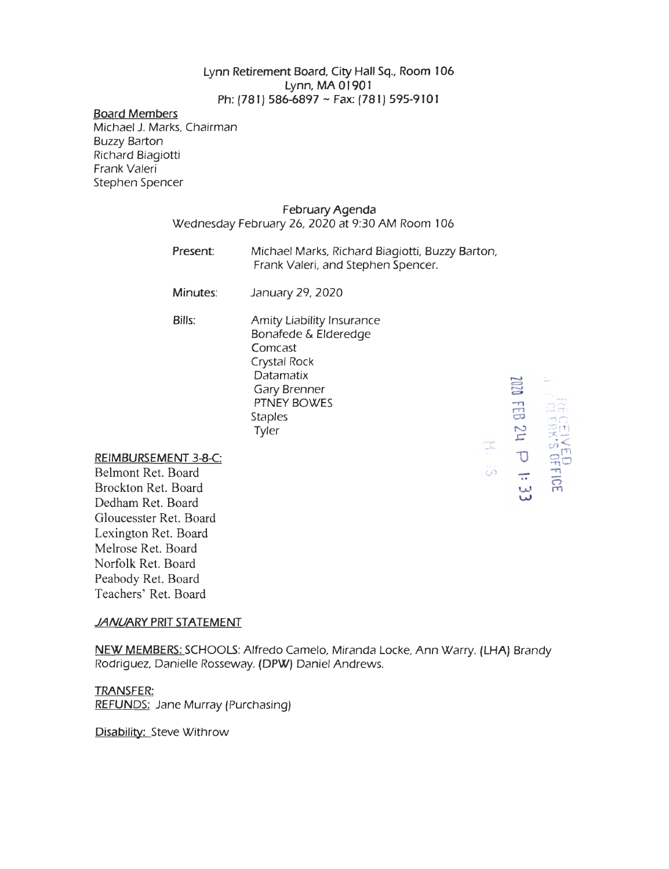## Lynn Retirement Board, City Hall Sq., Room 106 Lynn, MA 01901 Ph: (781) 586-6897 ~ Fax: (781) 595-9101

#### Board Members

Michael J. Marks, Chairman Buzzy Barton Richard Biagiotti Frank Valeri Stephen Spencer

### February Agenda

Wednesday February 26, 2020 at 9:30 AM Room I 06

Present: Michael Marks, Richard Biagiotti, Buzzy Barton, Frank Valeri, and Stephen Spencer.

 $\frac{1}{2}$ 

 $\frac{1}{2}$ 

 $\mathbf{B}$  .  $\mathbb{R}^n$ 

**21 b**<br>Exised<br>DRS or

FFICE<br> $\frac{1}{1!}$  : 33

Minutes: January 29, 2020

Bills:

Amity Liability Insurance Bonafede & Elderedge Comcast Crystal Rock **Datamatix** Gary Brenner PTNEY BOWES Staples Tyler

#### REIMBURSEMENT 3-8-C:

Belmont Ret. Board Brockton Ret. Board Dedham Ret. Board Gloucesster Ret. Board Lexington Ret. Board Melrose Ret. Board Norfolk Ret. Board Peabody Ret. Board Teachers' Ret. Board

## *JANUARY* PRIT STATEMENT

NEW MEMBERS: SCHOOLS: Alfredo Camelo, Miranda Locke, Ann Warry. (LHA) Brandy Rodriguez, Danielle Rosseway. (DPW) Daniel Andrews.

# TRANSFER: REFUNDS: Jane Murray (Purchasing)

Disability: Steve Withrow